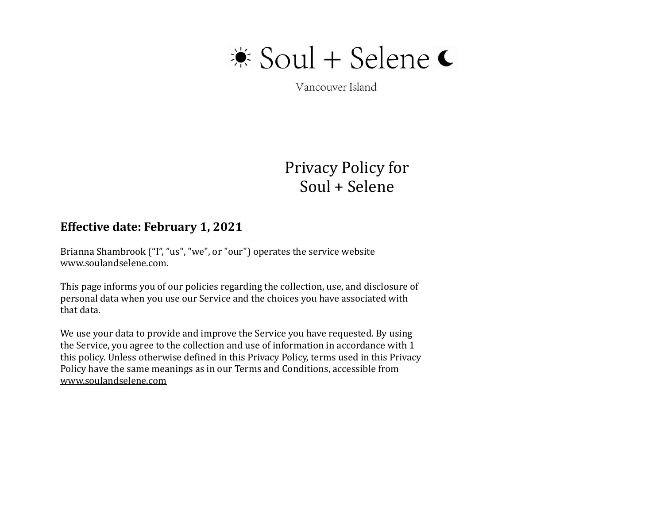

Vancouver Island

# Privacy Policy for Soul + Selene

### **Effective date: February 1, 2021**

Brianna Shambrook ("I", "us", "we", or "our") operates the service website www.soulandselene.com. 

This page informs you of our policies regarding the collection, use, and disclosure of personal data when you use our Service and the choices you have associated with that data.

We use your data to provide and improve the Service you have requested. By using the Service, you agree to the collection and use of information in accordance with 1 this policy. Unless otherwise defined in this Privacy Policy, terms used in this Privacy Policy have the same meanings as in our Terms and Conditions, accessible from [www.soulandselene.com](http://www.soulandselene.com)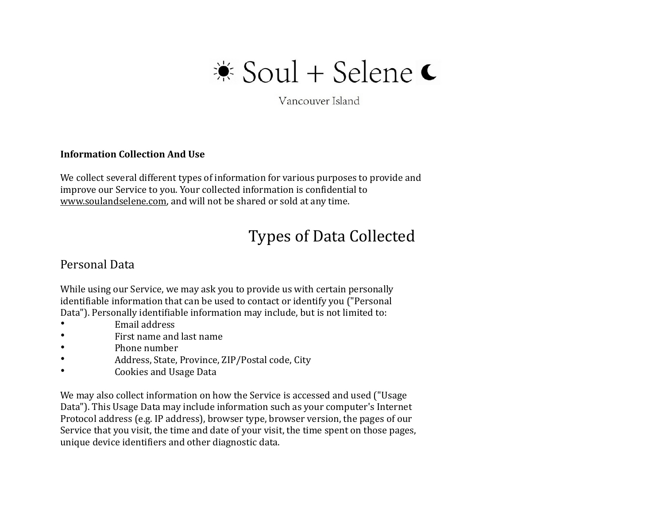

Vancouver Island

#### **Information Collection And Use**

We collect several different types of information for various purposes to provide and improve our Service to you. Your collected information is confidential to [www.soulandselene.com,](http://www.soulandselene.com) and will not be shared or sold at any time.

# Types of Data Collected

#### Personal Data

While using our Service, we may ask you to provide us with certain personally identifiable information that can be used to contact or identify you ("Personal Data"). Personally identifiable information may include, but is not limited to:

- Email address
- First name and last name
- Phone number
- Address, State, Province, ZIP/Postal code, City
- Cookies and Usage Data

We may also collect information on how the Service is accessed and used ("Usage Data"). This Usage Data may include information such as your computer's Internet Protocol address (e.g. IP address), browser type, browser version, the pages of our Service that you visit, the time and date of your visit, the time spent on those pages, unique device identifiers and other diagnostic data.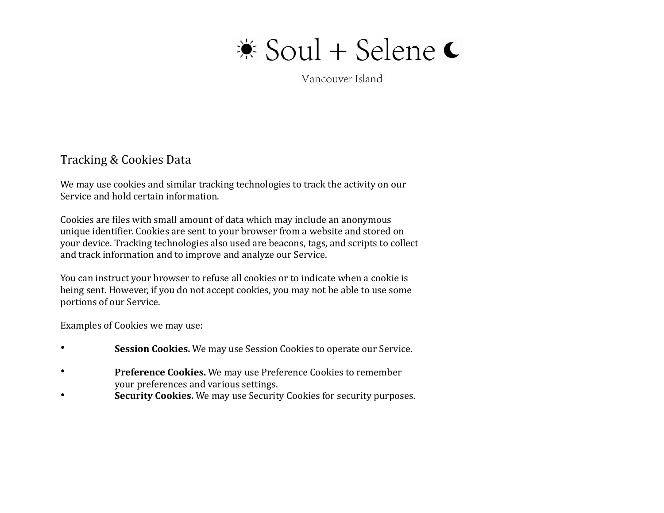Vancouver Island

### Tracking & Cookies Data

We may use cookies and similar tracking technologies to track the activity on our Service and hold certain information.

Cookies are files with small amount of data which may include an anonymous unique identifier. Cookies are sent to your browser from a website and stored on your device. Tracking technologies also used are beacons, tags, and scripts to collect and track information and to improve and analyze our Service.

You can instruct your browser to refuse all cookies or to indicate when a cookie is being sent. However, if you do not accept cookies, you may not be able to use some portions of our Service.

Examples of Cookies we may use:

- **Session Cookies.** We may use Session Cookies to operate our Service.
- **Preference Cookies.** We may use Preference Cookies to remember your preferences and various settings.
- **Security Cookies.** We may use Security Cookies for security purposes.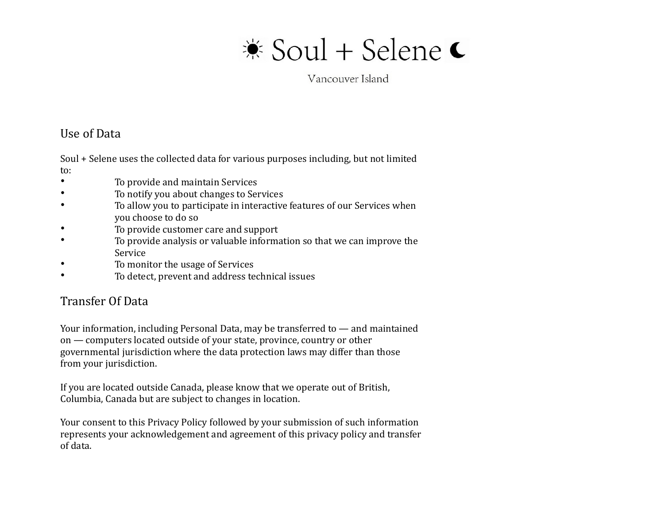Vancouver Island

### Use of Data

Soul + Selene uses the collected data for various purposes including, but not limited to: 

- To provide and maintain Services
- To notify you about changes to Services
- To allow you to participate in interactive features of our Services when you choose to do so
- To provide customer care and support
- To provide analysis or valuable information so that we can improve the Service
- To monitor the usage of Services
- To detect, prevent and address technical issues

# Transfer Of Data

Your information, including Personal Data, may be transferred to  $-$  and maintained on  $-$  computers located outside of your state, province, country or other governmental jurisdiction where the data protection laws may differ than those from your jurisdiction.

If you are located outside Canada, please know that we operate out of British, Columbia, Canada but are subject to changes in location.

Your consent to this Privacy Policy followed by your submission of such information represents your acknowledgement and agreement of this privacy policy and transfer of data.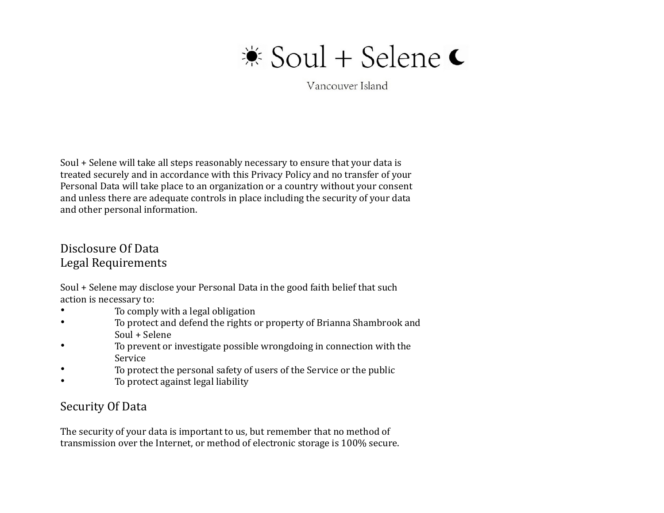# $\frac{*}{*}$  Soul + Selene €

Vancouver Island

Soul + Selene will take all steps reasonably necessary to ensure that your data is treated securely and in accordance with this Privacy Policy and no transfer of your Personal Data will take place to an organization or a country without your consent and unless there are adequate controls in place including the security of your data and other personal information.

## Disclosure Of Data Legal Requirements

Soul + Selene may disclose your Personal Data in the good faith belief that such action is necessary to:

- To comply with a legal obligation
- To protect and defend the rights or property of Brianna Shambrook and Soul + Selene
- To prevent or investigate possible wrongdoing in connection with the Service
- To protect the personal safety of users of the Service or the public
- To protect against legal liability

# Security Of Data

The security of your data is important to us, but remember that no method of transmission over the Internet, or method of electronic storage is 100% secure.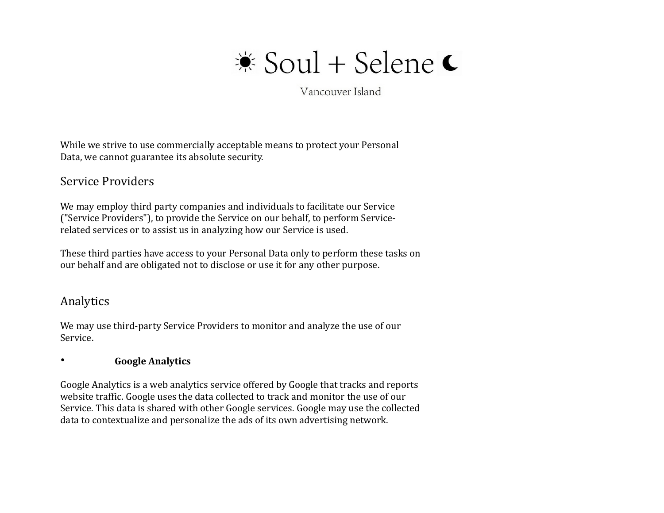

Vancouver Island

While we strive to use commercially acceptable means to protect your Personal Data, we cannot guarantee its absolute security.

### Service Providers

We may employ third party companies and individuals to facilitate our Service ("Service Providers"), to provide the Service on our behalf, to perform Servicerelated services or to assist us in analyzing how our Service is used.

These third parties have access to your Personal Data only to perform these tasks on our behalf and are obligated not to disclose or use it for any other purpose.

#### Analytics

We may use third-party Service Providers to monitor and analyze the use of our Service. 

#### • **Google Analytics**

Google Analytics is a web analytics service offered by Google that tracks and reports website traffic. Google uses the data collected to track and monitor the use of our Service. This data is shared with other Google services. Google may use the collected data to contextualize and personalize the ads of its own advertising network.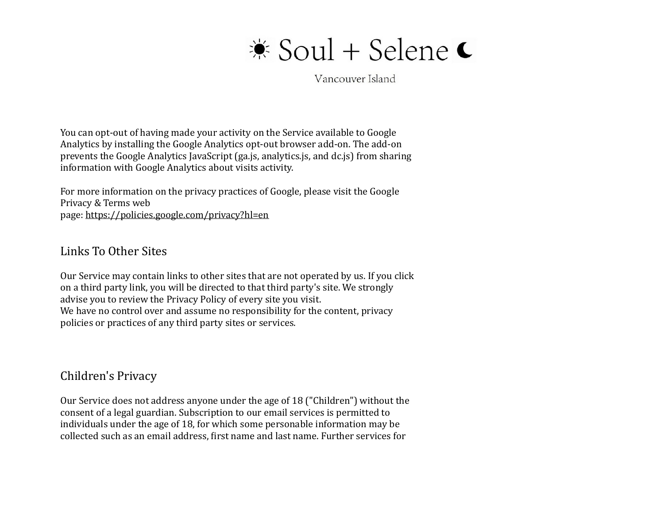Vancouver Island

You can opt-out of having made your activity on the Service available to Google Analytics by installing the Google Analytics opt-out browser add-on. The add-on prevents the Google Analytics JavaScript (ga.js, analytics.js, and dc.js) from sharing information with Google Analytics about visits activity.

For more information on the privacy practices of Google, please visit the Google Privacy & Terms web page:<https://policies.google.com/privacy?hl=en>

Links To Other Sites 

Our Service may contain links to other sites that are not operated by us. If you click on a third party link, you will be directed to that third party's site. We strongly advise you to review the Privacy Policy of every site you visit. We have no control over and assume no responsibility for the content, privacy policies or practices of any third party sites or services.

### Children's Privacy

Our Service does not address anyone under the age of 18 ("Children") without the consent of a legal guardian. Subscription to our email services is permitted to individuals under the age of 18, for which some personable information may be collected such as an email address, first name and last name. Further services for